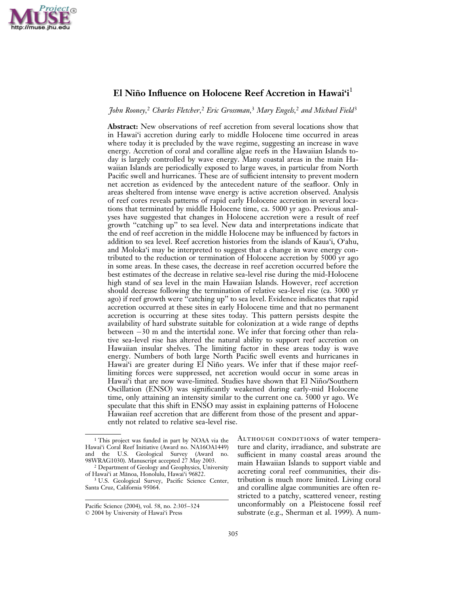

# El Niño Influence on Holocene Reef Accretion in Hawai'i<sup>1</sup>

John Rooney,<sup>2</sup> Charles Fletcher,<sup>2</sup> Eric Grossman,<sup>3</sup> Mary Engels,<sup>2</sup> and Michael Field<sup>3</sup>

Abstract: New observations of reef accretion from several locations show that in Hawai'i accretion during early to middle Holocene time occurred in areas where today it is precluded by the wave regime, suggesting an increase in wave energy. Accretion of coral and coralline algae reefs in the Hawaiian Islands today is largely controlled by wave energy. Many coastal areas in the main Hawaiian Islands are periodically exposed to large waves, in particular from North Pacific swell and hurricanes. These are of sufficient intensity to prevent modern net accretion as evidenced by the antecedent nature of the seafloor. Only in areas sheltered from intense wave energy is active accretion observed. Analysis of reef cores reveals patterns of rapid early Holocene accretion in several locations that terminated by middle Holocene time, ca. 5000 yr ago. Previous analyses have suggested that changes in Holocene accretion were a result of reef growth ''catching up'' to sea level. New data and interpretations indicate that the end of reef accretion in the middle Holocene may be influenced by factors in addition to sea level. Reef accretion histories from the islands of Kaua'i, O'ahu, and Moloka'i may be interpreted to suggest that a change in wave energy contributed to the reduction or termination of Holocene accretion by 5000 yr ago in some areas. In these cases, the decrease in reef accretion occurred before the best estimates of the decrease in relative sea-level rise during the mid-Holocene high stand of sea level in the main Hawaiian Islands. However, reef accretion should decrease following the termination of relative sea-level rise (ca. 3000 yr ago) if reef growth were ''catching up'' to sea level. Evidence indicates that rapid accretion occurred at these sites in early Holocene time and that no permanent accretion is occurring at these sites today. This pattern persists despite the availability of hard substrate suitable for colonization at a wide range of depths between  $-30$  m and the intertidal zone. We infer that forcing other than relative sea-level rise has altered the natural ability to support reef accretion on Hawaiian insular shelves. The limiting factor in these areas today is wave energy. Numbers of both large North Pacific swell events and hurricanes in Hawai'i are greater during El Niño years. We infer that if these major reeflimiting forces were suppressed, net accretion would occur in some areas in Hawai'i that are now wave-limited. Studies have shown that El Niño/Southern Oscillation (ENSO) was significantly weakened during early-mid Holocene time, only attaining an intensity similar to the current one ca. 5000 yr ago. We speculate that this shift in ENSO may assist in explaining patterns of Holocene Hawaiian reef accretion that are different from those of the present and apparently not related to relative sea-level rise.

Although conditions of water temperature and clarity, irradiance, and substrate are sufficient in many coastal areas around the main Hawaiian Islands to support viable and accreting coral reef communities, their distribution is much more limited. Living coral and coralline algae communities are often restricted to a patchy, scattered veneer, resting unconformably on a Pleistocene fossil reef substrate (e.g., Sherman et al. 1999). A num-

<sup>&</sup>lt;sup>1</sup> This project was funded in part by NOAA via the Hawai'i Coral Reef Initiative (Award no. NA16OA1449) and the U.S. Geological Survey (Award no. 98WRAG1030). Manuscript accepted 27 May 2003.

<sup>&</sup>lt;sup>2</sup> Department of Geology and Geophysics, University of Hawai'i at Mānoa, Honolulu, Hawai'i 96822.

<sup>&</sup>lt;sup>3</sup> U.S. Geological Survey, Pacific Science Center, Santa Cruz, California 95064.

Pacific Science (2004), vol. 58, no. 2:305–324 *:* 2004 by University of Hawai'i Press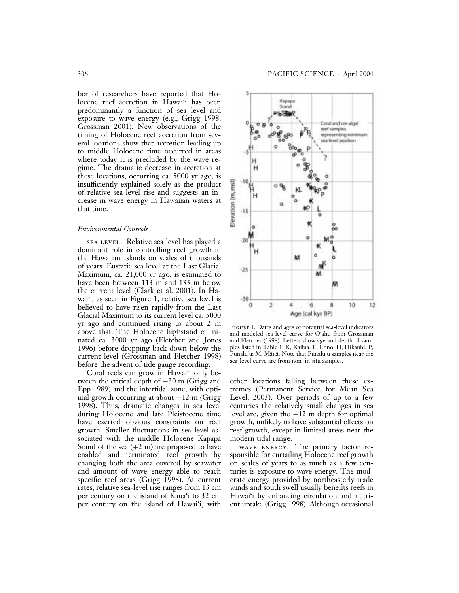ber of researchers have reported that Holocene reef accretion in Hawai'i has been predominantly a function of sea level and exposure to wave energy (e.g., Grigg 1998, Grossman 2001). New observations of the timing of Holocene reef accretion from several locations show that accretion leading up to middle Holocene time occurred in areas where today it is precluded by the wave regime. The dramatic decrease in accretion at these locations, occurring ca. 5000 yr ago, is insufficiently explained solely as the product of relative sea-level rise and suggests an increase in wave energy in Hawaiian waters at that time.

### Environmental Controls

sea level. Relative sea level has played a dominant role in controlling reef growth in the Hawaiian Islands on scales of thousands of years. Eustatic sea level at the Last Glacial Maximum, ca. 21,000 yr ago, is estimated to have been between 113 m and 135 m below the current level (Clark et al. 2001). In Hawai'i, as seen in Figure 1, relative sea level is believed to have risen rapidly from the Last Glacial Maximum to its current level ca. 5000 yr ago and continued rising to about 2 m above that. The Holocene highstand culminated ca. 3000 yr ago (Fletcher and Jones 1996) before dropping back down below the current level (Grossman and Fletcher 1998) before the advent of tide gauge recording.

Coral reefs can grow in Hawai'i only between the critical depth of  $-30$  m (Grigg and Epp 1989) and the intertidal zone, with optimal growth occurring at about  $-12$  m (Grigg 1998). Thus, dramatic changes in sea level during Holocene and late Pleistocene time have exerted obvious constraints on reef growth. Smaller fluctuations in sea level associated with the middle Holocene Kapapa Stand of the sea  $(+2 \text{ m})$  are proposed to have enabled and terminated reef growth by changing both the area covered by seawater and amount of wave energy able to reach specific reef areas (Grigg 1998). At current rates, relative sea-level rise ranges from 13 cm per century on the island of Kaua'i to 32 cm per century on the island of Hawai'i, with



Figure 1. Dates and ages of potential sea-level indicators and modeled sea-level curve for O'ahu from Grossman and Fletcher (1998). Letters show age and depth of samples listed in Table 1: K, Kailua; L, Lono; H, Hikauhi; P, Punalu'u; M, Mānā. Note that Punalu'u samples near the sea-level curve are from non–in situ samples.

other locations falling between these extremes (Permanent Service for Mean Sea Level, 2003). Over periods of up to a few centuries the relatively small changes in sea level are, given the  $-12$  m depth for optimal growth, unlikely to have substantial effects on reef growth, except in limited areas near the modern tidal range.

wave energy. The primary factor responsible for curtailing Holocene reef growth on scales of years to as much as a few centuries is exposure to wave energy. The moderate energy provided by northeasterly trade winds and south swell usually benefits reefs in Hawai'i by enhancing circulation and nutrient uptake (Grigg 1998). Although occasional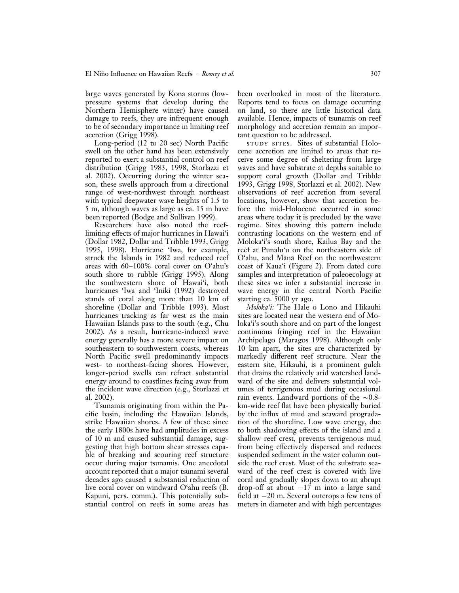large waves generated by Kona storms (lowpressure systems that develop during the Northern Hemisphere winter) have caused damage to reefs, they are infrequent enough to be of secondary importance in limiting reef accretion (Grigg 1998).

Long-period (12 to 20 sec) North Pacific swell on the other hand has been extensively reported to exert a substantial control on reef distribution (Grigg 1983, 1998, Storlazzi et al. 2002). Occurring during the winter season, these swells approach from a directional range of west-northwest through northeast with typical deepwater wave heights of 1.5 to 5 m, although waves as large as ca. 15 m have been reported (Bodge and Sullivan 1999).

Researchers have also noted the reeflimiting effects of major hurricanes in Hawai'i (Dollar 1982, Dollar and Tribble 1993, Grigg 1995, 1998). Hurricane 'Iwa, for example, struck the Islands in 1982 and reduced reef areas with 60–100% coral cover on O'ahu's south shore to rubble (Grigg 1995). Along the southwestern shore of Hawai'i, both hurricanes 'Iwa and 'Iniki (1992) destroyed stands of coral along more than 10 km of shoreline (Dollar and Tribble 1993). Most hurricanes tracking as far west as the main Hawaiian Islands pass to the south (e.g., Chu 2002). As a result, hurricane-induced wave energy generally has a more severe impact on southeastern to southwestern coasts, whereas North Pacific swell predominantly impacts west- to northeast-facing shores. However, longer-period swells can refract substantial energy around to coastlines facing away from the incident wave direction (e.g., Storlazzi et al. 2002).

Tsunamis originating from within the Pacific basin, including the Hawaiian Islands, strike Hawaiian shores. A few of these since the early 1800s have had amplitudes in excess of 10 m and caused substantial damage, suggesting that high bottom shear stresses capable of breaking and scouring reef structure occur during major tsunamis. One anecdotal account reported that a major tsunami several decades ago caused a substantial reduction of live coral cover on windward O'ahu reefs (B. Kapuni, pers. comm.). This potentially substantial control on reefs in some areas has

been overlooked in most of the literature. Reports tend to focus on damage occurring on land, so there are little historical data available. Hence, impacts of tsunamis on reef morphology and accretion remain an important question to be addressed.

study sites. Sites of substantial Holocene accretion are limited to areas that receive some degree of sheltering from large waves and have substrate at depths suitable to support coral growth (Dollar and Tribble 1993, Grigg 1998, Storlazzi et al. 2002). New observations of reef accretion from several locations, however, show that accretion before the mid-Holocene occurred in some areas where today it is precluded by the wave regime. Sites showing this pattern include contrasting locations on the western end of Moloka'i's south shore, Kailua Bay and the reef at Punalu'u on the northeastern side of O'ahu, and Mānā Reef on the northwestern coast of Kaua'i (Figure 2). From dated core samples and interpretation of paleoecology at these sites we infer a substantial increase in wave energy in the central North Pacific starting ca. 5000 yr ago.

Moloka'i: The Hale o Lono and Hikauhi sites are located near the western end of Moloka'i's south shore and on part of the longest continuous fringing reef in the Hawaiian Archipelago (Maragos 1998). Although only 10 km apart, the sites are characterized by markedly different reef structure. Near the eastern site, Hikauhi, is a prominent gulch that drains the relatively arid watershed landward of the site and delivers substantial volumes of terrigenous mud during occasional rain events. Landward portions of the  $\sim 0.8$ km-wide reef flat have been physically buried by the influx of mud and seaward progradation of the shoreline. Low wave energy, due to both shadowing effects of the island and a shallow reef crest, prevents terrigenous mud from being effectively dispersed and reduces suspended sediment in the water column outside the reef crest. Most of the substrate seaward of the reef crest is covered with live coral and gradually slopes down to an abrupt drop-off at about  $-17$  m into a large sand field at  $-20$  m. Several outcrops a few tens of meters in diameter and with high percentages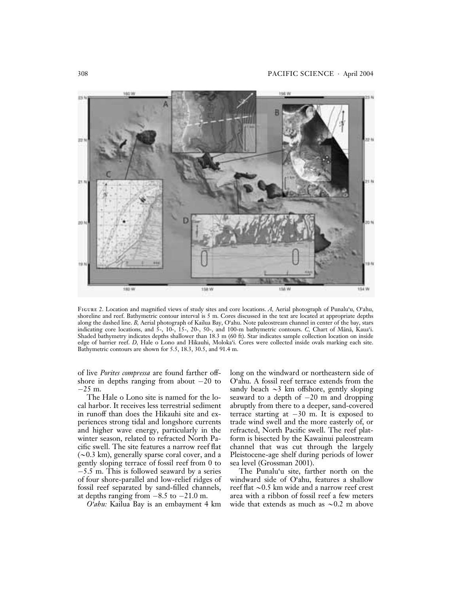

FIGURE 2. Location and magnified views of study sites and core locations. A, Aerial photograph of Punalu'u, O'ahu, shoreline and reef. Bathymetric contour interval is 5 m. Cores discussed in the text are located at appropriate depths along the dashed line. B, Aerial photograph of Kailua Bay, O'ahu. Note paleostream channel in center of the bay, stars indicating core locations, and  $5$ -, 10-, 15-, 20-, 50-, and 100-m bathymetric contours. C, Chart of Mānā, Kaua'i. Shaded bathymetry indicates depths shallower than 18.3 m (60 ft). Star indicates sample collection location on inside edge of barrier reef. D, Hale o Lono and Hikauhi, Moloka'i. Cores were collected inside ovals marking each site. Bathymetric contours are shown for 5.5, 18.3, 30.5, and 91.4 m.

of live Porites compressa are found farther offshore in depths ranging from about  $-20$  to  $-25$  m.

The Hale o Lono site is named for the local harbor. It receives less terrestrial sediment in runoff than does the Hikauhi site and experiences strong tidal and longshore currents and higher wave energy, particularly in the winter season, related to refracted North Pacific swell. The site features a narrow reef flat  $(\sim 0.3 \text{ km})$ , generally sparse coral cover, and a gently sloping terrace of fossil reef from 0 to  $-5.5$  m. This is followed seaward by a series of four shore-parallel and low-relief ridges of fossil reef separated by sand-filled channels, at depths ranging from  $-8.5$  to  $-21.0$  m.

O'ahu: Kailua Bay is an embayment 4 km

long on the windward or northeastern side of O'ahu. A fossil reef terrace extends from the sandy beach  $\sim$ 3 km offshore, gently sloping seaward to a depth of  $-20$  m and dropping abruptly from there to a deeper, sand-covered terrace starting at  $-30$  m. It is exposed to trade wind swell and the more easterly of, or refracted, North Pacific swell. The reef platform is bisected by the Kawainui paleostream channel that was cut through the largely Pleistocene-age shelf during periods of lower sea level (Grossman 2001).

The Punalu'u site, farther north on the windward side of O'ahu, features a shallow reef flat  $\sim$ 0.5 km wide and a narrow reef crest area with a ribbon of fossil reef a few meters wide that extends as much as  $\sim 0.2$  m above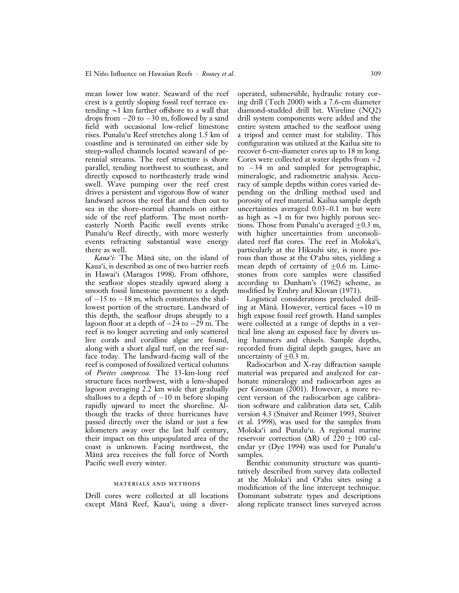mean lower low water. Seaward of the reef crest is a gently sloping fossil reef terrace extending  $\sim$ 1 km farther offshore to a wall that drops from  $-20$  to  $-30$  m, followed by a sand field with occasional low-relief limestone rises. Punalu'u Reef stretches along 1.5 km of coastline and is terminated on either side by steep-walled channels located seaward of perennial streams. The reef structure is shore parallel, tending northwest to southeast, and directly exposed to northeasterly trade wind swell. Wave pumping over the reef crest drives a persistent and vigorous flow of water landward across the reef flat and then out to sea in the shore-normal channels on either side of the reef platform. The most northeasterly North Pacific swell events strike Punalu'u Reef directly, with more westerly events refracting substantial wave energy there as well.

Kaua'i: The Mānā site, on the island of Kaua'i, is described as one of two barrier reefs in Hawai'i (Maragos 1998). From offshore, the seafloor slopes steadily upward along a smooth fossil limestone pavement to a depth of  $-15$  to  $-18$  m, which constitutes the shallowest portion of the structure. Landward of this depth, the seafloor drops abruptly to a lagoon floor at a depth of  $-24$  to  $-29$  m. The reef is no longer accreting and only scattered live corals and coralline algae are found, along with a short algal turf, on the reef surface today. The landward-facing wall of the reef is composed of fossilized vertical columns of Porites compressa. The 13-km-long reef structure faces northwest, with a lens-shaped lagoon averaging 2.2 km wide that gradually shallows to a depth of  $-10$  m before sloping rapidly upward to meet the shoreline. Although the tracks of three hurricanes have passed directly over the island or just a few kilometers away over the last half century, their impact on this unpopulated area of the coast is unknown. Facing northwest, the Mānā area receives the full force of North Pacific swell every winter.

#### materials and methods

Drill cores were collected at all locations except Mānā Reef, Kaua'i, using a diveroperated, submersible, hydraulic rotary coring drill (Tech 2000) with a 7.6-cm diameter diamond-studded drill bit. Wireline (NQ2) drill system components were added and the entire system attached to the seafloor using a tripod and center mast for stability. This configuration was utilized at the Kailua site to recover 6-cm-diameter cores up to 18 m long. Cores were collected at water depths from  $+2$ to  $-34$  m and sampled for petrographic, mineralogic, and radiometric analysis. Accuracy of sample depths within cores varied depending on the drilling method used and porosity of reef material. Kailua sample depth uncertainties averaged 0.03–0.1 m but were as high as  $\sim$ 1 m for two highly porous sections. Those from Punalu'u averaged  $\pm$ 0.3 m, with higher uncertainties from unconsolidated reef flat cores. The reef in Moloka'i, particularly at the Hikauhi site, is more porous than those at the O'ahu sites, yielding a mean depth of certainty of  $\pm 0.6$  m. Limestones from core samples were classified according to Dunham's (1962) scheme, as modified by Embry and Klovan (1971).

Logistical considerations precluded drilling at Mānā. However, vertical faces  $\sim$ 10 m high expose fossil reef growth. Hand samples were collected at a range of depths in a vertical line along an exposed face by divers using hammers and chisels. Sample depths, recorded from digital depth gauges, have an uncertainty of  $\pm$ 0.3 m.

Radiocarbon and X-ray diffraction sample material was prepared and analyzed for carbonate mineralogy and radiocarbon ages as per Grossman (2001). However, a more recent version of the radiocarbon age calibration software and calibration data set, Calib version 4.3 (Stuiver and Reimer 1993, Stuiver et al. 1998), was used for the samples from Moloka'i and Punalu'u. A regional marine reservoir correction  $(AR)$  of  $220 + 100$  calendar yr (Dye 1994) was used for Punalu'u samples.

Benthic community structure was quantitatively described from survey data collected at the Moloka'i and O'ahu sites using a modification of the line intercept technique. Dominant substrate types and descriptions along replicate transect lines surveyed across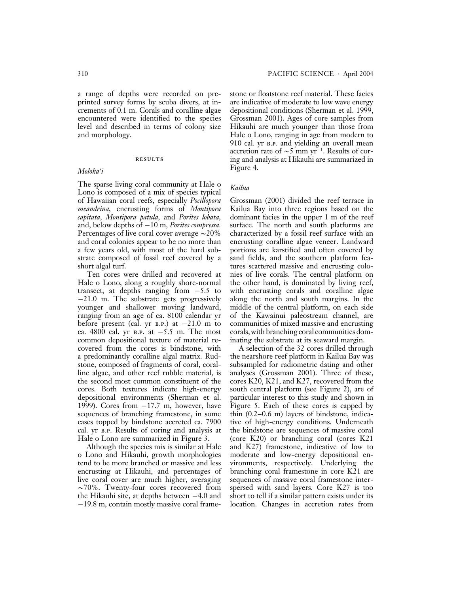a range of depths were recorded on preprinted survey forms by scuba divers, at increments of 0.1 m. Corals and coralline algae encountered were identified to the species level and described in terms of colony size and morphology.

### results

### Moloka'i

The sparse living coral community at Hale o Lono is composed of a mix of species typical of Hawaiian coral reefs, especially Pocillopora meandrina, encrusting forms of Montipora capitata, Montipora patula, and Porites lobata, and, below depths of  $-10$  m, Porites compressa. Percentages of live coral cover average  $\sim$ 20% and coral colonies appear to be no more than a few years old, with most of the hard substrate composed of fossil reef covered by a short algal turf.

Ten cores were drilled and recovered at Hale o Lono, along a roughly shore-normal transect, at depths ranging from  $-5.5$  to  $-21.0$  m. The substrate gets progressively younger and shallower moving landward, ranging from an age of ca. 8100 calendar yr before present (cal. yr  $B.P.$ ) at  $-21.0 \text{ m}$  to ca. 4800 cal. yr B.P. at  $-5.5$  m. The most common depositional texture of material recovered from the cores is bindstone, with a predominantly coralline algal matrix. Rudstone, composed of fragments of coral, coralline algae, and other reef rubble material, is the second most common constituent of the cores. Both textures indicate high-energy depositional environments (Sherman et al. 1999). Cores from  $-17.7$  m, however, have sequences of branching framestone, in some cases topped by bindstone accreted ca. 7900 cal. yr b.p. Results of coring and analysis at Hale o Lono are summarized in Figure 3.

Although the species mix is similar at Hale o Lono and Hikauhi, growth morphologies tend to be more branched or massive and less encrusting at Hikauhi, and percentages of live coral cover are much higher, averaging  $\sim$ 70%. Twenty-four cores recovered from the Hikauhi site, at depths between  $-4.0$  and  $-19.8$  m, contain mostly massive coral framestone or floatstone reef material. These facies are indicative of moderate to low wave energy depositional conditions (Sherman et al. 1999, Grossman 2001). Ages of core samples from Hikauhi are much younger than those from Hale o Lono, ranging in age from modern to 910 cal. yr b.p. and yielding an overall mean accretion rate of  $\sim$ 5 mm yr<sup>-1</sup>. Results of coring and analysis at Hikauhi are summarized in Figure 4.

### Kailua

Grossman (2001) divided the reef terrace in Kailua Bay into three regions based on the dominant facies in the upper 1 m of the reef surface. The north and south platforms are characterized by a fossil reef surface with an encrusting coralline algae veneer. Landward portions are karstified and often covered by sand fields, and the southern platform features scattered massive and encrusting colonies of live corals. The central platform on the other hand, is dominated by living reef, with encrusting corals and coralline algae along the north and south margins. In the middle of the central platform, on each side of the Kawainui paleostream channel, are communities of mixed massive and encrusting corals, with branching coral communities dominating the substrate at its seaward margin.

A selection of the 32 cores drilled through the nearshore reef platform in Kailua Bay was subsampled for radiometric dating and other analyses (Grossman 2001). Three of these, cores K20, K21, and K27, recovered from the south central platform (see Figure 2), are of particular interest to this study and shown in Figure 5. Each of these cores is capped by thin (0.2–0.6 m) layers of bindstone, indicative of high-energy conditions. Underneath the bindstone are sequences of massive coral (core K20) or branching coral (cores K21 and K27) framestone, indicative of low to moderate and low-energy depositional environments, respectively. Underlying the branching coral framestone in core K21 are sequences of massive coral framestone interspersed with sand layers. Core K27 is too short to tell if a similar pattern exists under its location. Changes in accretion rates from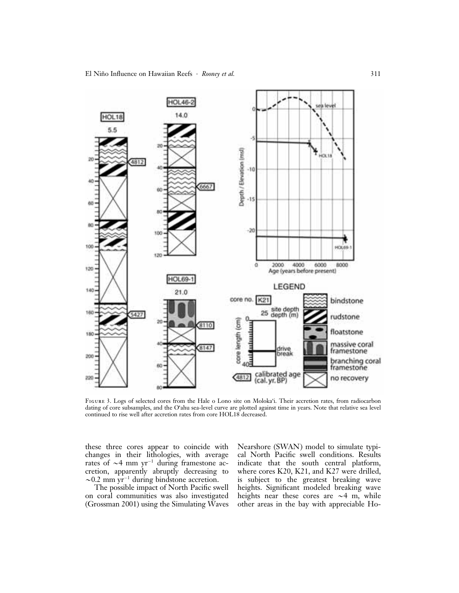

Figure 3. Logs of selected cores from the Hale o Lono site on Moloka'i. Their accretion rates, from radiocarbon dating of core subsamples, and the O'ahu sea-level curve are plotted against time in years. Note that relative sea level continued to rise well after accretion rates from core HOL18 decreased.

these three cores appear to coincide with changes in their lithologies, with average rates of  $\sim$ 4 mm yr<sup>-1</sup> during framestone accretion, apparently abruptly decreasing to  $\sim$ 0.2 mm yr<sup>-1</sup> during bindstone accretion.

The possible impact of North Pacific swell on coral communities was also investigated (Grossman 2001) using the Simulating Waves Nearshore (SWAN) model to simulate typical North Pacific swell conditions. Results indicate that the south central platform, where cores K20, K21, and K27 were drilled, is subject to the greatest breaking wave heights. Significant modeled breaking wave heights near these cores are  $\sim$ 4 m, while other areas in the bay with appreciable Ho-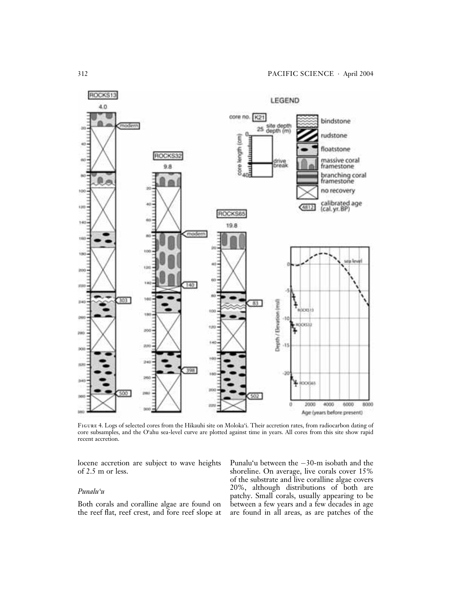

Figure 4. Logs of selected cores from the Hikauhi site on Moloka'i. Their accretion rates, from radiocarbon dating of core subsamples, and the O'ahu sea-level curve are plotted against time in years. All cores from this site show rapid recent accretion.

locene accretion are subject to wave heights of 2.5 m or less.

# Punalu'u

Both corals and coralline algae are found on the reef flat, reef crest, and fore reef slope at Punalu'u between the  $-30$ -m isobath and the shoreline. On average, live corals cover 15% of the substrate and live coralline algae covers 20%, although distributions of both are patchy. Small corals, usually appearing to be between a few years and a few decades in age are found in all areas, as are patches of the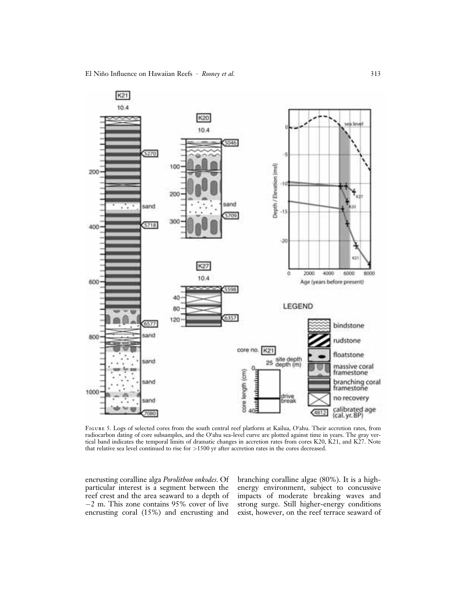

Figure 5. Logs of selected cores from the south central reef platform at Kailua, O'ahu. Their accretion rates, from radiocarbon dating of core subsamples, and the O'ahu sea-level curve are plotted against time in years. The gray vertical band indicates the temporal limits of dramatic changes in accretion rates from cores K20, K21, and K27. Note that relative sea level continued to rise for >1500 yr after accretion rates in the cores decreased.

encrusting coralline alga Porolithon onkodes. Of particular interest is a segment between the reef crest and the area seaward to a depth of  $-2$  m. This zone contains 95% cover of live encrusting coral (15%) and encrusting and branching coralline algae (80%). It is a highenergy environment, subject to concussive impacts of moderate breaking waves and strong surge. Still higher-energy conditions exist, however, on the reef terrace seaward of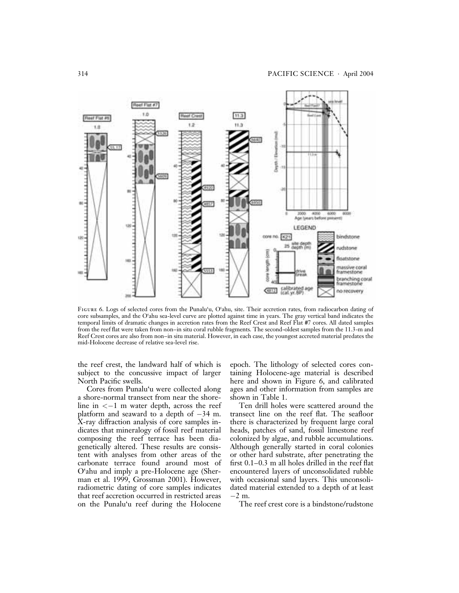

Figure 6. Logs of selected cores from the Punalu'u, O'ahu, site. Their accretion rates, from radiocarbon dating of core subsamples, and the O'ahu sea-level curve are plotted against time in years. The gray vertical band indicates the temporal limits of dramatic changes in accretion rates from the Reef Crest and Reef Flat #7 cores. All dated samples from the reef flat were taken from non–in situ coral rubble fragments. The second-oldest samples from the 11.3-m and Reef Crest cores are also from non–in situ material. However, in each case, the youngest accreted material predates the mid-Holocene decrease of relative sea-level rise.

the reef crest, the landward half of which is subject to the concussive impact of larger North Pacific swells.

Cores from Punalu'u were collected along a shore-normal transect from near the shoreline in  $<-1$  m water depth, across the reef platform and seaward to a depth of  $-34$  m. X-ray diffraction analysis of core samples indicates that mineralogy of fossil reef material composing the reef terrace has been diagenetically altered. These results are consistent with analyses from other areas of the carbonate terrace found around most of O'ahu and imply a pre-Holocene age (Sherman et al. 1999, Grossman 2001). However, radiometric dating of core samples indicates that reef accretion occurred in restricted areas on the Punalu'u reef during the Holocene

epoch. The lithology of selected cores containing Holocene-age material is described here and shown in Figure 6, and calibrated ages and other information from samples are shown in Table 1.

Ten drill holes were scattered around the transect line on the reef flat. The seafloor there is characterized by frequent large coral heads, patches of sand, fossil limestone reef colonized by algae, and rubble accumulations. Although generally started in coral colonies or other hard substrate, after penetrating the first 0.1–0.3 m all holes drilled in the reef flat encountered layers of unconsolidated rubble with occasional sand layers. This unconsolidated material extended to a depth of at least  $-2$  m.

The reef crest core is a bindstone/rudstone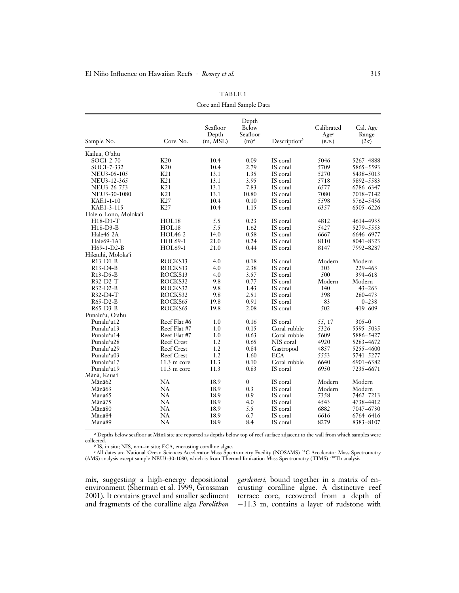| Sample No.            | Core No.              | Seafloor<br>Depth<br>$(m, \overline{MSL})$ | Depth<br>Below<br>Seafloor<br>$(m)^a$ | Description $\psi$ | Calibrated<br>$Age^c$<br>(B.P.) | Cal. Age<br>Range<br>$(2\sigma)$ |
|-----------------------|-----------------------|--------------------------------------------|---------------------------------------|--------------------|---------------------------------|----------------------------------|
| Kailua, Oʻahu         |                       |                                            |                                       |                    |                                 |                                  |
| SOC1-2-70             | K20                   | 10.4                                       | 0.09                                  | IS coral           | 5046                            | 5267-4888                        |
| $SOC1-7-332$          | K20                   | 10.4                                       | 2.79                                  | IS coral           | 5709                            | 5865-5593                        |
| NEU3-05-105           | K21                   | 13.1                                       | 1.35                                  | IS coral           | 5270                            | 5438-5013                        |
| NEU3-12-365           | K21                   | 13.1                                       | 3.95                                  | IS coral           | 5718                            | 5892-5583                        |
| NEU3-26-753           | K21                   | 13.1                                       | 7.83                                  | IS coral           | 6577                            | 6786-6347                        |
| NEU3-30-1080          | K21                   | 13.1                                       | 10.80                                 | IS coral           | 7080                            | 7018-7142                        |
| KAE1-1-10             | K27                   | 10.4                                       | 0.10                                  | IS coral           | 5598                            | 5762-5456                        |
| KAE1-3-115            | K27                   | 10.4                                       | 1.15                                  | IS coral           | 6357                            | 6505-6226                        |
| Hale o Lono, Moloka'i |                       |                                            |                                       |                    |                                 |                                  |
| H18-D1-T              | HOL18                 | 5.5                                        | 0.23                                  | IS coral           | 4812                            | 4614-4935                        |
| $H18-D3-B$            | HOL18                 | 5.5                                        | 1.62                                  | IS coral           | 5427                            | 5279-5553                        |
| Hale46-2A             | <b>HOL46-2</b>        | 14.0                                       | 0.58                                  | IS coral           | 6667                            | 6646-6977                        |
| Hale69-1A1            | HOL69-1               | 21.0                                       | 0.24                                  | IS coral           | 8110                            | 8041-8323                        |
| H69-1-D2-B            | HOL69-1               | 21.0                                       | 0.44                                  | IS coral           | 8147                            | 7992-8287                        |
| Hikauhi, Moloka'i     |                       |                                            |                                       |                    |                                 |                                  |
| $R13-D1-B$            | ROCKS13               | 4.0                                        | 0.18                                  | IS coral           | Modern                          | Modern                           |
| R13-D4-B              | ROCKS13               | 4.0                                        | 2.38                                  | IS coral           | 303                             | 229-463                          |
| $R13-D5-B$            | ROCKS13               | 4.0                                        | 3.57                                  | IS coral           | 500                             | 394-618                          |
| $R32-D2-T$            | ROCKS32               | 9.8                                        | 0.77                                  | IS coral           | Modern                          | Modern                           |
| R32-D2-B              | ROCKS32               | 9.8                                        | 1.43                                  | IS coral           | 140                             | $43 - 263$                       |
| $R32-D4-T$            | ROCKS32               | 9.8                                        | 2.51                                  | IS coral           | 398                             | 280-473                          |
| $R65-D2-B$            | ROCKS65               | 19.8                                       | 0.91                                  | IS coral           | 83                              | $0 - 238$                        |
| $R65-D3-B$            | ROCKS65               | 19.8                                       | 2.08                                  | IS coral           | 502                             | 419-609                          |
| Punalu'u, O'ahu       |                       |                                            |                                       |                    |                                 |                                  |
| Punaluʻu12            | Reef Flat #6          | 1.0                                        | 0.16                                  | IS coral           | 55, 17                          | $305 - 0$                        |
| Punalu'u13            | Reef Flat #7          | 1.0                                        | 0.15                                  | Coral rubble       | 5326                            | 5595-5035                        |
| Punalu'u14            | Reef Flat #7          | 1.0                                        | 0.63                                  | Coral rubble       | 5609                            | 5886-5427                        |
| Punalu'u28            | <b>Reef Crest</b>     | 1.2                                        | 0.65                                  | NIS coral          | 4920                            | 5283-4672                        |
| Punalu'u29            | <b>Reef Crest</b>     | 1.2                                        | 0.84                                  | Gastropod          | 4857                            | 5255-4600                        |
| Punalu'u03            | <b>Reef Crest</b>     | 1.2                                        | 1.60                                  | <b>ECA</b>         | 5553                            | 5741-5277                        |
| Punaluʻu17            | $11.3 \text{ m core}$ | 11.3                                       | 0.10                                  | Coral rubble       | 6640                            | 6901-6382                        |
| Punaluʻu19            | $11.3 \text{ m core}$ | 11.3                                       | 0.83                                  | IS coral           | 6950                            | 7235-6671                        |
| Mānā, Kaua'i          |                       |                                            |                                       |                    |                                 |                                  |
| Mānā62                | NA                    | 18.9                                       | $\mathbf{0}$                          | IS coral           | Modern                          | Modern                           |
| Mānā63                | <b>NA</b>             | 18.9                                       | 0.3                                   | IS coral           | Modern                          | Modern                           |
| Mānā65                | <b>NA</b>             | 18.9                                       | 0.9                                   | IS coral           | 7358                            | 7462-7213                        |
| Mānā75                | NA                    | 18.9                                       | 4.0                                   | IS coral           | 4543                            | 4738-4412                        |
| Mānā80                | NA                    | 18.9                                       | 5.5                                   | IS coral           | 6882                            | 7047-6730                        |
| Mānā84                | <b>NA</b>             | 18.9                                       | 6.7                                   | IS coral           | 6616                            | 6764-6416                        |
| Mānā89                | NA                    | 18.9                                       | 8.4                                   | IS coral           | 8279                            | 8383-8107                        |

TABLE 1 Core and Hand Sample Data

<sup>a</sup> Depths below seafloor at Mānā site are reported as depths below top of reef surface adjacent to the wall from which samples were collected.

<sup>b</sup> IS, in situ; NIS, non–in situ; ECA, encrusting coralline algae. <sup>c</sup> All dates are National Ocean Sciences Accelerator Mass Spectrometry Facility (NOSAMS) 14C Accelerator Mass Spectrometry (AMS) analysis except sample NEU3-30-1080, which is from Thermal Ionization Mass Spectrometry (TIMS) 230Th analysis.

mix, suggesting a high-energy depositional environment (Sherman et al. 1999, Grossman 2001). It contains gravel and smaller sediment and fragments of the coralline alga Porolithon

gardeneri, bound together in a matrix of encrusting coralline algae. A distinctive reef terrace core, recovered from a depth of  $-11.3$  m, contains a layer of rudstone with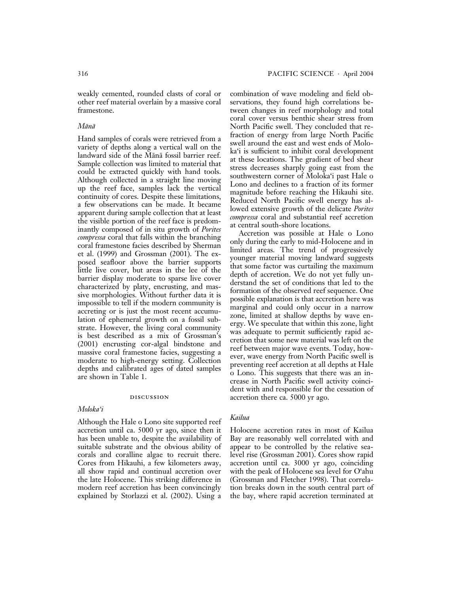weakly cemented, rounded clasts of coral or other reef material overlain by a massive coral framestone.

#### Mānā

Hand samples of corals were retrieved from a variety of depths along a vertical wall on the landward side of the Mānā fossil barrier reef. Sample collection was limited to material that could be extracted quickly with hand tools. Although collected in a straight line moving up the reef face, samples lack the vertical continuity of cores. Despite these limitations, a few observations can be made. It became apparent during sample collection that at least the visible portion of the reef face is predominantly composed of in situ growth of Porites compressa coral that falls within the branching coral framestone facies described by Sherman et al. (1999) and Grossman (2001). The exposed seafloor above the barrier supports little live cover, but areas in the lee of the barrier display moderate to sparse live cover characterized by platy, encrusting, and massive morphologies. Without further data it is impossible to tell if the modern community is accreting or is just the most recent accumulation of ephemeral growth on a fossil substrate. However, the living coral community is best described as a mix of Grossman's (2001) encrusting cor-algal bindstone and massive coral framestone facies, suggesting a moderate to high-energy setting. Collection depths and calibrated ages of dated samples are shown in Table 1.

#### discussion

### Moloka'i

Although the Hale o Lono site supported reef accretion until ca. 5000 yr ago, since then it has been unable to, despite the availability of suitable substrate and the obvious ability of corals and coralline algae to recruit there. Cores from Hikauhi, a few kilometers away, all show rapid and continual accretion over the late Holocene. This striking difference in modern reef accretion has been convincingly explained by Storlazzi et al. (2002). Using a

combination of wave modeling and field observations, they found high correlations between changes in reef morphology and total coral cover versus benthic shear stress from North Pacific swell. They concluded that refraction of energy from large North Pacific swell around the east and west ends of Moloka'i is sufficient to inhibit coral development at these locations. The gradient of bed shear stress decreases sharply going east from the southwestern corner of Moloka'i past Hale o Lono and declines to a fraction of its former magnitude before reaching the Hikauhi site. Reduced North Pacific swell energy has allowed extensive growth of the delicate Porites compressa coral and substantial reef accretion at central south-shore locations.

Accretion was possible at Hale o Lono only during the early to mid-Holocene and in limited areas. The trend of progressively younger material moving landward suggests that some factor was curtailing the maximum depth of accretion. We do not yet fully understand the set of conditions that led to the formation of the observed reef sequence. One possible explanation is that accretion here was marginal and could only occur in a narrow zone, limited at shallow depths by wave energy. We speculate that within this zone, light was adequate to permit sufficiently rapid accretion that some new material was left on the reef between major wave events. Today, however, wave energy from North Pacific swell is preventing reef accretion at all depths at Hale o Lono. This suggests that there was an increase in North Pacific swell activity coincident with and responsible for the cessation of accretion there ca. 5000 yr ago.

# Kailua

Holocene accretion rates in most of Kailua Bay are reasonably well correlated with and appear to be controlled by the relative sealevel rise (Grossman 2001). Cores show rapid accretion until ca. 3000 yr ago, coinciding with the peak of Holocene sea level for O'ahu (Grossman and Fletcher 1998). That correlation breaks down in the south central part of the bay, where rapid accretion terminated at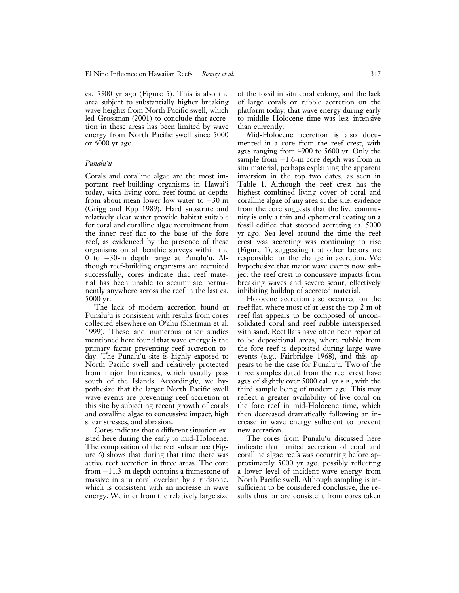ca. 5500 yr ago (Figure 5). This is also the area subject to substantially higher breaking wave heights from North Pacific swell, which led Grossman (2001) to conclude that accretion in these areas has been limited by wave energy from North Pacific swell since 5000 or 6000 yr ago.

### Punalu'u

Corals and coralline algae are the most important reef-building organisms in Hawai'i today, with living coral reef found at depths from about mean lower low water to  $-30$  m (Grigg and Epp 1989). Hard substrate and relatively clear water provide habitat suitable for coral and coralline algae recruitment from the inner reef flat to the base of the fore reef, as evidenced by the presence of these organisms on all benthic surveys within the 0 to 30-m depth range at Punalu'u. Although reef-building organisms are recruited successfully, cores indicate that reef material has been unable to accumulate permanently anywhere across the reef in the last ca. 5000 yr.

The lack of modern accretion found at Punalu'u is consistent with results from cores collected elsewhere on O'ahu (Sherman et al. 1999). These and numerous other studies mentioned here found that wave energy is the primary factor preventing reef accretion today. The Punalu'u site is highly exposed to North Pacific swell and relatively protected from major hurricanes, which usually pass south of the Islands. Accordingly, we hypothesize that the larger North Pacific swell wave events are preventing reef accretion at this site by subjecting recent growth of corals and coralline algae to concussive impact, high shear stresses, and abrasion.

Cores indicate that a different situation existed here during the early to mid-Holocene. The composition of the reef subsurface (Figure 6) shows that during that time there was active reef accretion in three areas. The core from  $-11.3$ -m depth contains a framestone of massive in situ coral overlain by a rudstone, which is consistent with an increase in wave energy. We infer from the relatively large size

of the fossil in situ coral colony, and the lack of large corals or rubble accretion on the platform today, that wave energy during early to middle Holocene time was less intensive than currently.

Mid-Holocene accretion is also documented in a core from the reef crest, with ages ranging from 4900 to 5600 yr. Only the sample from  $-1.6$ -m core depth was from in situ material, perhaps explaining the apparent inversion in the top two dates, as seen in Table 1. Although the reef crest has the highest combined living cover of coral and coralline algae of any area at the site, evidence from the core suggests that the live community is only a thin and ephemeral coating on a fossil edifice that stopped accreting ca. 5000 yr ago. Sea level around the time the reef crest was accreting was continuing to rise (Figure 1), suggesting that other factors are responsible for the change in accretion. We hypothesize that major wave events now subject the reef crest to concussive impacts from breaking waves and severe scour, effectively inhibiting buildup of accreted material.

Holocene accretion also occurred on the reef flat, where most of at least the top 2 m of reef flat appears to be composed of unconsolidated coral and reef rubble interspersed with sand. Reef flats have often been reported to be depositional areas, where rubble from the fore reef is deposited during large wave events (e.g., Fairbridge 1968), and this appears to be the case for Punalu'u. Two of the three samples dated from the reef crest have ages of slightly over 5000 cal. yr B.P., with the third sample being of modern age. This may reflect a greater availability of live coral on the fore reef in mid-Holocene time, which then decreased dramatically following an increase in wave energy sufficient to prevent new accretion.

The cores from Punalu'u discussed here indicate that limited accretion of coral and coralline algae reefs was occurring before approximately 5000 yr ago, possibly reflecting a lower level of incident wave energy from North Pacific swell. Although sampling is insufficient to be considered conclusive, the results thus far are consistent from cores taken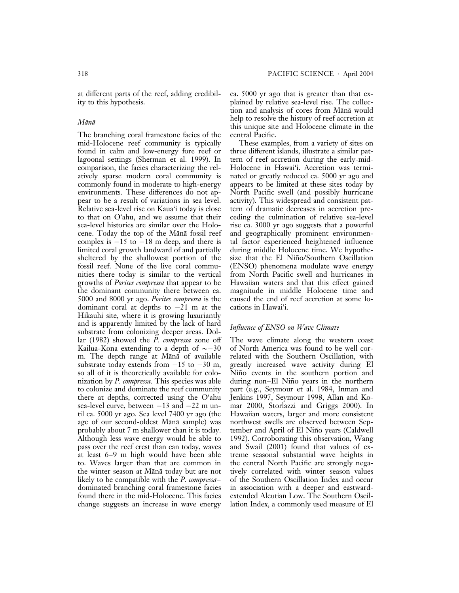at different parts of the reef, adding credibility to this hypothesis.

### Mānā

The branching coral framestone facies of the mid-Holocene reef community is typically found in calm and low-energy fore reef or lagoonal settings (Sherman et al. 1999). In comparison, the facies characterizing the relatively sparse modern coral community is commonly found in moderate to high-energy environments. These differences do not appear to be a result of variations in sea level. Relative sea-level rise on Kaua'i today is close to that on O'ahu, and we assume that their sea-level histories are similar over the Holocene. Today the top of the Mānā fossil reef complex is  $-15$  to  $-18$  m deep, and there is limited coral growth landward of and partially sheltered by the shallowest portion of the fossil reef. None of the live coral communities there today is similar to the vertical growths of Porites compressa that appear to be the dominant community there between ca. 5000 and 8000 yr ago. Porites compressa is the dominant coral at depths to  $-2\overline{1}$  m at the Hikauhi site, where it is growing luxuriantly and is apparently limited by the lack of hard substrate from colonizing deeper areas. Dollar (1982) showed the P. compressa zone off Kailua-Kona extending to a depth of  $\sim$  -30 m. The depth range at Mānā of available substrate today extends from  $-15$  to  $-30$  m, so all of it is theoretically available for colonization by P. compressa. This species was able to colonize and dominate the reef community there at depths, corrected using the O'ahu sea-level curve, between  $-13$  and  $-22$  m until ca. 5000 yr ago. Sea level 7400 yr ago (the age of our second-oldest Mānā sample) was probably about 7 m shallower than it is today. Although less wave energy would be able to pass over the reef crest than can today, waves at least 6–9 m high would have been able to. Waves larger than that are common in the winter season at Mānā today but are not likely to be compatible with the P. compressa– dominated branching coral framestone facies found there in the mid-Holocene. This facies change suggests an increase in wave energy

ca. 5000 yr ago that is greater than that explained by relative sea-level rise. The collection and analysis of cores from Mānā would help to resolve the history of reef accretion at this unique site and Holocene climate in the central Pacific.

These examples, from a variety of sites on three different islands, illustrate a similar pattern of reef accretion during the early-mid-Holocene in Hawai'i. Accretion was terminated or greatly reduced ca. 5000 yr ago and appears to be limited at these sites today by North Pacific swell (and possibly hurricane activity). This widespread and consistent pattern of dramatic decreases in accretion preceding the culmination of relative sea-level rise ca. 3000 yr ago suggests that a powerful and geographically prominent environmental factor experienced heightened influence during middle Holocene time. We hypothesize that the El Niño/Southern Oscillation (ENSO) phenomena modulate wave energy from North Pacific swell and hurricanes in Hawaiian waters and that this effect gained magnitude in middle Holocene time and caused the end of reef accretion at some locations in Hawai'i.

### Influence of ENSO on Wave Climate

The wave climate along the western coast of North America was found to be well correlated with the Southern Oscillation, with greatly increased wave activity during El Nino events in the southern portion and during non–El Niño years in the northern part (e.g., Seymour et al. 1984, Inman and Jenkins 1997, Seymour 1998, Allan and Komar 2000, Storlazzi and Griggs 2000). In Hawaiian waters, larger and more consistent northwest swells are observed between September and April of El Niño years (Caldwell 1992). Corroborating this observation, Wang and Swail (2001) found that values of extreme seasonal substantial wave heights in the central North Pacific are strongly negatively correlated with winter season values of the Southern Oscillation Index and occur in association with a deeper and eastwardextended Aleutian Low. The Southern Oscillation Index, a commonly used measure of El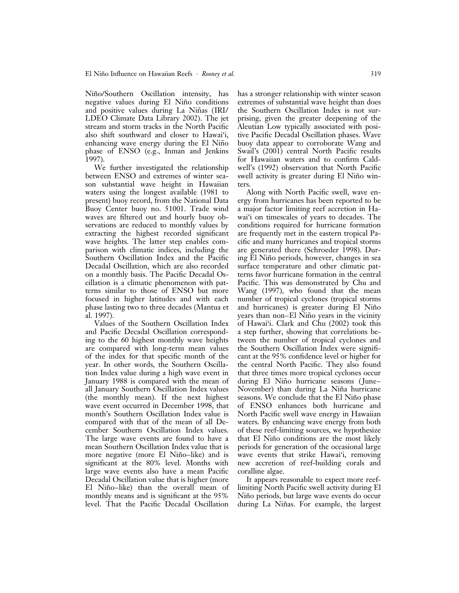Niño/Southern Oscillation intensity, has negative values during El Niño conditions and positive values during La Niñas (IRI/ LDEO Climate Data Library 2002). The jet stream and storm tracks in the North Pacific also shift southward and closer to Hawai'i, enhancing wave energy during the El Niño phase of ENSO (e.g., Inman and Jenkins 1997).

We further investigated the relationship between ENSO and extremes of winter season substantial wave height in Hawaiian waters using the longest available (1981 to present) buoy record, from the National Data Buoy Center buoy no. 51001. Trade wind waves are filtered out and hourly buoy observations are reduced to monthly values by extracting the highest recorded significant wave heights. The latter step enables comparison with climatic indices, including the Southern Oscillation Index and the Pacific Decadal Oscillation, which are also recorded on a monthly basis. The Pacific Decadal Oscillation is a climatic phenomenon with patterns similar to those of ENSO but more focused in higher latitudes and with each phase lasting two to three decades (Mantua et al. 1997).

Values of the Southern Oscillation Index and Pacific Decadal Oscillation corresponding to the 60 highest monthly wave heights are compared with long-term mean values of the index for that specific month of the year. In other words, the Southern Oscillation Index value during a high wave event in January 1988 is compared with the mean of all January Southern Oscillation Index values (the monthly mean). If the next highest wave event occurred in December 1998, that month's Southern Oscillation Index value is compared with that of the mean of all December Southern Oscillation Index values. The large wave events are found to have a mean Southern Oscillation Index value that is more negative (more El Niño-like) and is significant at the 80% level. Months with large wave events also have a mean Pacific Decadal Oscillation value that is higher (more El Niño-like) than the overall mean of monthly means and is significant at the 95% level. That the Pacific Decadal Oscillation has a stronger relationship with winter season extremes of substantial wave height than does the Southern Oscillation Index is not surprising, given the greater deepening of the Aleutian Low typically associated with positive Pacific Decadal Oscillation phases. Wave buoy data appear to corroborate Wang and Swail's (2001) central North Pacific results for Hawaiian waters and to confirm Caldwell's (1992) observation that North Pacific swell activity is greater during El Niño winters.

Along with North Pacific swell, wave energy from hurricanes has been reported to be a major factor limiting reef accretion in Hawai'i on timescales of years to decades. The conditions required for hurricane formation are frequently met in the eastern tropical Pacific and many hurricanes and tropical storms are generated there (Schroeder 1998). During El Niño periods, however, changes in sea surface temperature and other climatic patterns favor hurricane formation in the central Pacific. This was demonstrated by Chu and Wang (1997), who found that the mean number of tropical cyclones (tropical storms and hurricanes) is greater during El Niño years than non–El Niño years in the vicinity of Hawai'i. Clark and Chu (2002) took this a step further, showing that correlations between the number of tropical cyclones and the Southern Oscillation Index were significant at the 95% confidence level or higher for the central North Pacific. They also found that three times more tropical cyclones occur during El Niño hurricane seasons (June– November) than during La Niña hurricane seasons. We conclude that the El Niño phase of ENSO enhances both hurricane and North Pacific swell wave energy in Hawaiian waters. By enhancing wave energy from both of these reef-limiting sources, we hypothesize that El Niño conditions are the most likely periods for generation of the occasional large wave events that strike Hawai'i, removing new accretion of reef-building corals and coralline algae.

It appears reasonable to expect more reeflimiting North Pacific swell activity during El Niño periods, but large wave events do occur during La Niñas. For example, the largest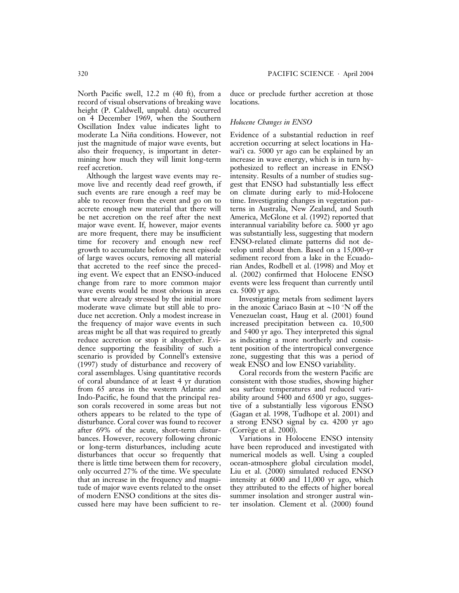North Pacific swell, 12.2 m (40 ft), from a record of visual observations of breaking wave height (P. Caldwell, unpubl. data) occurred on 4 December 1969, when the Southern Oscillation Index value indicates light to moderate La Niña conditions. However, not just the magnitude of major wave events, but also their frequency, is important in determining how much they will limit long-term reef accretion.

Although the largest wave events may remove live and recently dead reef growth, if such events are rare enough a reef may be able to recover from the event and go on to accrete enough new material that there will be net accretion on the reef after the next major wave event. If, however, major events are more frequent, there may be insufficient time for recovery and enough new reef growth to accumulate before the next episode of large waves occurs, removing all material that accreted to the reef since the preceding event. We expect that an ENSO-induced change from rare to more common major wave events would be most obvious in areas that were already stressed by the initial more moderate wave climate but still able to produce net accretion. Only a modest increase in the frequency of major wave events in such areas might be all that was required to greatly reduce accretion or stop it altogether. Evidence supporting the feasibility of such a scenario is provided by Connell's extensive (1997) study of disturbance and recovery of coral assemblages. Using quantitative records of coral abundance of at least 4 yr duration from 65 areas in the western Atlantic and Indo-Pacific, he found that the principal reason corals recovered in some areas but not others appears to be related to the type of disturbance. Coral cover was found to recover after 69% of the acute, short-term disturbances. However, recovery following chronic or long-term disturbances, including acute disturbances that occur so frequently that there is little time between them for recovery, only occurred 27% of the time. We speculate that an increase in the frequency and magnitude of major wave events related to the onset of modern ENSO conditions at the sites discussed here may have been sufficient to reduce or preclude further accretion at those locations.

### Holocene Changes in ENSO

Evidence of a substantial reduction in reef accretion occurring at select locations in Hawai'i ca. 5000 yr ago can be explained by an increase in wave energy, which is in turn hypothesized to reflect an increase in ENSO intensity. Results of a number of studies suggest that ENSO had substantially less effect on climate during early to mid-Holocene time. Investigating changes in vegetation patterns in Australia, New Zealand, and South America, McGlone et al. (1992) reported that interannual variability before ca. 5000 yr ago was substantially less, suggesting that modern ENSO-related climate patterns did not develop until about then. Based on a 15,000-yr sediment record from a lake in the Ecuadorian Andes, Rodbell et al. (1998) and Moy et al. (2002) confirmed that Holocene ENSO events were less frequent than currently until ca. 5000 yr ago.

Investigating metals from sediment layers in the anoxic Cariaco Basin at  $\sim$ 10 °N off the Venezuelan coast, Haug et al. (2001) found increased precipitation between ca. 10,500 and 5400 yr ago. They interpreted this signal as indicating a more northerly and consistent position of the intertropical convergence zone, suggesting that this was a period of weak ENSO and low ENSO variability.

Coral records from the western Pacific are consistent with those studies, showing higher sea surface temperatures and reduced variability around 5400 and 6500 yr ago, suggestive of a substantially less vigorous ENSO (Gagan et al. 1998, Tudhope et al. 2001) and a strong ENSO signal by ca. 4200 yr ago  $(Corr\)$ ege et al. 2000).

Variations in Holocene ENSO intensity have been reproduced and investigated with numerical models as well. Using a coupled ocean-atmosphere global circulation model, Liu et al. (2000) simulated reduced ENSO intensity at 6000 and 11,000 yr ago, which they attributed to the effects of higher boreal summer insolation and stronger austral winter insolation. Clement et al. (2000) found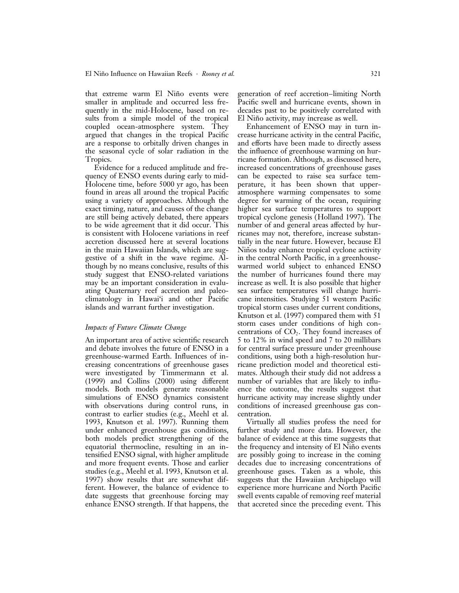that extreme warm El Niño events were smaller in amplitude and occurred less frequently in the mid-Holocene, based on results from a simple model of the tropical coupled ocean-atmosphere system. They argued that changes in the tropical Pacific are a response to orbitally driven changes in the seasonal cycle of solar radiation in the Tropics.

Evidence for a reduced amplitude and frequency of ENSO events during early to mid-Holocene time, before 5000 yr ago, has been found in areas all around the tropical Pacific using a variety of approaches. Although the exact timing, nature, and causes of the change are still being actively debated, there appears to be wide agreement that it did occur. This is consistent with Holocene variations in reef accretion discussed here at several locations in the main Hawaiian Islands, which are suggestive of a shift in the wave regime. Although by no means conclusive, results of this study suggest that ENSO-related variations may be an important consideration in evaluating Quaternary reef accretion and paleoclimatology in Hawai'i and other Pacific islands and warrant further investigation.

### Impacts of Future Climate Change

An important area of active scientific research and debate involves the future of ENSO in a greenhouse-warmed Earth. Influences of increasing concentrations of greenhouse gases were investigated by Timmermann et al. (1999) and Collins (2000) using different models. Both models generate reasonable simulations of ENSO dynamics consistent with observations during control runs, in contrast to earlier studies (e.g., Meehl et al. 1993, Knutson et al. 1997). Running them under enhanced greenhouse gas conditions, both models predict strengthening of the equatorial thermocline, resulting in an intensified ENSO signal, with higher amplitude and more frequent events. Those and earlier studies (e.g., Meehl et al. 1993, Knutson et al. 1997) show results that are somewhat different. However, the balance of evidence to date suggests that greenhouse forcing may enhance ENSO strength. If that happens, the

generation of reef accretion–limiting North Pacific swell and hurricane events, shown in decades past to be positively correlated with El Niño activity, may increase as well.

Enhancement of ENSO may in turn increase hurricane activity in the central Pacific, and efforts have been made to directly assess the influence of greenhouse warming on hurricane formation. Although, as discussed here, increased concentrations of greenhouse gases can be expected to raise sea surface temperature, it has been shown that upperatmosphere warming compensates to some degree for warming of the ocean, requiring higher sea surface temperatures to support tropical cyclone genesis (Holland 1997). The number of and general areas affected by hurricanes may not, therefore, increase substantially in the near future. However, because El Niños today enhance tropical cyclone activity in the central North Pacific, in a greenhousewarmed world subject to enhanced ENSO the number of hurricanes found there may increase as well. It is also possible that higher sea surface temperatures will change hurricane intensities. Studying 51 western Pacific tropical storm cases under current conditions, Knutson et al. (1997) compared them with 51 storm cases under conditions of high concentrations of  $CO<sub>2</sub>$ . They found increases of 5 to 12% in wind speed and 7 to 20 millibars for central surface pressure under greenhouse conditions, using both a high-resolution hurricane prediction model and theoretical estimates. Although their study did not address a number of variables that are likely to influence the outcome, the results suggest that hurricane activity may increase slightly under conditions of increased greenhouse gas concentration.

Virtually all studies profess the need for further study and more data. However, the balance of evidence at this time suggests that the frequency and intensity of El Niño events are possibly going to increase in the coming decades due to increasing concentrations of greenhouse gases. Taken as a whole, this suggests that the Hawaiian Archipelago will experience more hurricane and North Pacific swell events capable of removing reef material that accreted since the preceding event. This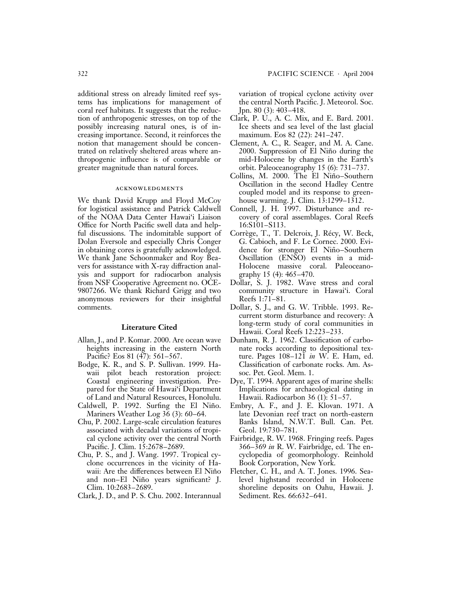tems has implications for management of coral reef habitats. It suggests that the reduction of anthropogenic stresses, on top of the possibly increasing natural ones, is of increasing importance. Second, it reinforces the notion that management should be concentrated on relatively sheltered areas where anthropogenic influence is of comparable or greater magnitude than natural forces.

### acknowledgments

We thank David Krupp and Floyd McCoy for logistical assistance and Patrick Caldwell of the NOAA Data Center Hawai'i Liaison Office for North Pacific swell data and helpful discussions. The indomitable support of Dolan Eversole and especially Chris Conger in obtaining cores is gratefully acknowledged. We thank Jane Schoonmaker and Roy Beavers for assistance with X-ray diffraction analysis and support for radiocarbon analysis from NSF Cooperative Agreement no. OCE-9807266. We thank Richard Grigg and two anonymous reviewers for their insightful comments.

### Literature Cited

- Allan, J., and P. Komar. 2000. Are ocean wave heights increasing in the eastern North Pacific? Eos 81 (47): 561–567.
- Bodge, K. R., and S. P. Sullivan. 1999. Hawaii pilot beach restoration project: Coastal engineering investigation. Prepared for the State of Hawai'i Department of Land and Natural Resources, Honolulu.
- Caldwell, P. 1992. Surfing the El Niño. Mariners Weather Log  $36(3)$ : 60–64.
- Chu, P. 2002. Large-scale circulation features associated with decadal variations of tropical cyclone activity over the central North Pacific. J. Clim. 15:2678–2689.
- Chu, P. S., and J. Wang. 1997. Tropical cyclone occurrences in the vicinity of Hawaii: Are the differences between El Niño and non–El Niño years significant? J. Clim. 10:2683–2689.
- Clark, J. D., and P. S. Chu. 2002. Interannual

variation of tropical cyclone activity over the central North Pacific. J. Meteorol. Soc. Jpn. 80 (3): 403–418.

- Clark, P. U., A. C. Mix, and E. Bard. 2001. Ice sheets and sea level of the last glacial maximum. Eos 82 (22): 241–247.
- Clement, A. C., R. Seager, and M. A. Cane. 2000. Suppression of El Niño during the mid-Holocene by changes in the Earth's orbit. Paleoceanography 15 (6): 731–737.
- Collins, M. 2000. The El Niño-Southern Oscillation in the second Hadley Centre coupled model and its response to greenhouse warming. J. Clim. 13:1299–1312.
- Connell, J. H. 1997. Disturbance and recovery of coral assemblages. Coral Reefs 16:S101–S113.
- Corrège, T., T. Delcroix, J. Récy, W. Beck, G. Cabioch, and F. Le Cornec. 2000. Evidence for stronger El Niño-Southern Oscillation (ENSO) events in a mid-Holocene massive coral. Paleoceanography 15 (4): 465–470.
- Dollar, S. J. 1982. Wave stress and coral community structure in Hawai'i. Coral Reefs 1:71–81.
- Dollar, S. J., and G. W. Tribble. 1993. Recurrent storm disturbance and recovery: A long-term study of coral communities in Hawaii. Coral Reefs 12:223–233.
- Dunham, R. J. 1962. Classification of carbonate rocks according to depositional texture. Pages 108–121 in W. E. Ham, ed. Classification of carbonate rocks. Am. Assoc. Pet. Geol. Mem. 1.
- Dye, T. 1994. Apparent ages of marine shells: Implications for archaeological dating in Hawaii. Radiocarbon 36 (1): 51–57.
- Embry, A. F., and J. E. Klovan. 1971. A late Devonian reef tract on north-eastern Banks Island, N.W.T. Bull. Can. Pet. Geol. 19:730–781.
- Fairbridge, R. W. 1968. Fringing reefs. Pages  $366-\overline{3}69$  in R. W. Fairbridge, ed. The encyclopedia of geomorphology. Reinhold Book Corporation, New York.
- Fletcher, C. H., and A. T. Jones. 1996. Sealevel highstand recorded in Holocene shoreline deposits on Oahu, Hawaii. J. Sediment. Res. 66:632–641.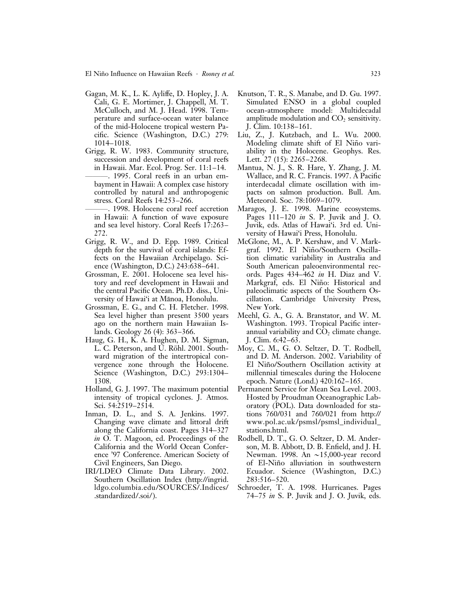- Gagan, M. K., L. K. Ayliffe, D. Hopley, J. A. Cali, G. E. Mortimer, J. Chappell, M. T. McCulloch, and M. J. Head. 1998. Temperature and surface-ocean water balance of the mid-Holocene tropical western Pacific. Science (Washington, D.C.) 279: 1014–1018.
- Grigg, R. W. 1983. Community structure, succession and development of coral reefs in Hawaii. Mar. Ecol. Prog. Ser. 11:1–14.
- ———. 1995. Coral reefs in an urban embayment in Hawaii: A complex case history controlled by natural and anthropogenic stress. Coral Reefs 14:253–266.
- ———. 1998. Holocene coral reef accretion in Hawaii: A function of wave exposure and sea level history. Coral Reefs 17:263– 272.
- Grigg, R. W., and D. Epp. 1989. Critical depth for the survival of coral islands: Effects on the Hawaiian Archipelago. Science (Washington, D.C.) 243:638–641.
- Grossman, E. 2001. Holocene sea level history and reef development in Hawaii and the central Pacific Ocean. Ph.D. diss., University of Hawai'i at Mānoa, Honolulu.
- Grossman, E. G., and C. H. Fletcher. 1998. Sea level higher than present 3500 years ago on the northern main Hawaiian Islands. Geology 26 (4): 363–366.
- Haug, G. H., K. A. Hughen, D. M. Sigman, L. C. Peterson, and U. Röhl. 2001. Southward migration of the intertropical convergence zone through the Holocene. Science (Washington, D.C.) 293:1304– 1308.
- Holland, G. J. 1997. The maximum potential intensity of tropical cyclones. J. Atmos. Sci. 54:2519–2514.
- Inman, D. L., and S. A. Jenkins. 1997. Changing wave climate and littoral drift along the California coast. Pages 314–327 in O. T. Magoon, ed. Proceedings of the California and the World Ocean Conference '97 Conference. American Society of Civil Engineers, San Diego.
- IRI/LDEO Climate Data Library. 2002. Southern Oscillation Index (http://ingrid. ldgo.columbia.edu/SOURCES/.Indices/ .standardized/.soi/).
- Knutson, T. R., S. Manabe, and D. Gu. 1997. Simulated ENSO in a global coupled ocean-atmosphere model: Multidecadal amplitude modulation and  $CO<sub>2</sub>$  sensitivity. J. Clim. 10:138–161.
- Liu, Z., J. Kutzbach, and L. Wu. 2000. Modeling climate shift of El Niño variability in the Holocene. Geophys. Res. Lett. 27 (15): 2265–2268.
- Mantua, N. J., S. R. Hare, Y. Zhang, J. M. Wallace, and R. C. Francis. 1997. A Pacific interdecadal climate oscillation with impacts on salmon production. Bull. Am. Meteorol. Soc. 78:1069–1079.
- Maragos, J. E. 1998. Marine ecosystems. Pages 111–120 in S. P. Juvik and J. O. Juvik, eds. Atlas of Hawai'i. 3rd ed. University of Hawai'i Press, Honolulu.
- McGlone, M., A. P. Kershaw, and V. Markgraf. 1992. El Niño/Southern Oscillation climatic variability in Australia and South American paleoenvironmental records. Pages 434–462 in H. Diaz and V. Markgraf, eds. El Niño: Historical and paleoclimatic aspects of the Southern Oscillation. Cambridge University Press, New York.
- Meehl, G. A., G. A. Branstator, and W. M. Washington. 1993. Tropical Pacific interannual variability and  $CO<sub>2</sub>$  climate change. J. Clim. 6:42–63.
- Moy, C. M., G. O. Seltzer, D. T. Rodbell, and D. M. Anderson. 2002. Variability of El Niño/Southern Oscillation activity at millennial timescales during the Holocene epoch. Nature (Lond.) 420:162–165.
- Permanent Service for Mean Sea Level. 2003. Hosted by Proudman Oceanographic Laboratory (POL). Data downloaded for stations 760/031 and 760/021 from http:// www.pol.ac.uk/psmsl/psmsl\_individual\_ stations.html.
- Rodbell, D. T., G. O. Seltzer, D. M. Anderson, M. B. Abbott, D. B. Enfield, and J. H. Newman. 1998. An  $\sim$ 15,000-year record of El-Niño alluviation in southwestern Ecuador. Science (Washington, D.C.) 283:516–520.
- Schroeder, T. A. 1998. Hurricanes. Pages 74–75 in S. P. Juvik and J. O. Juvik, eds.